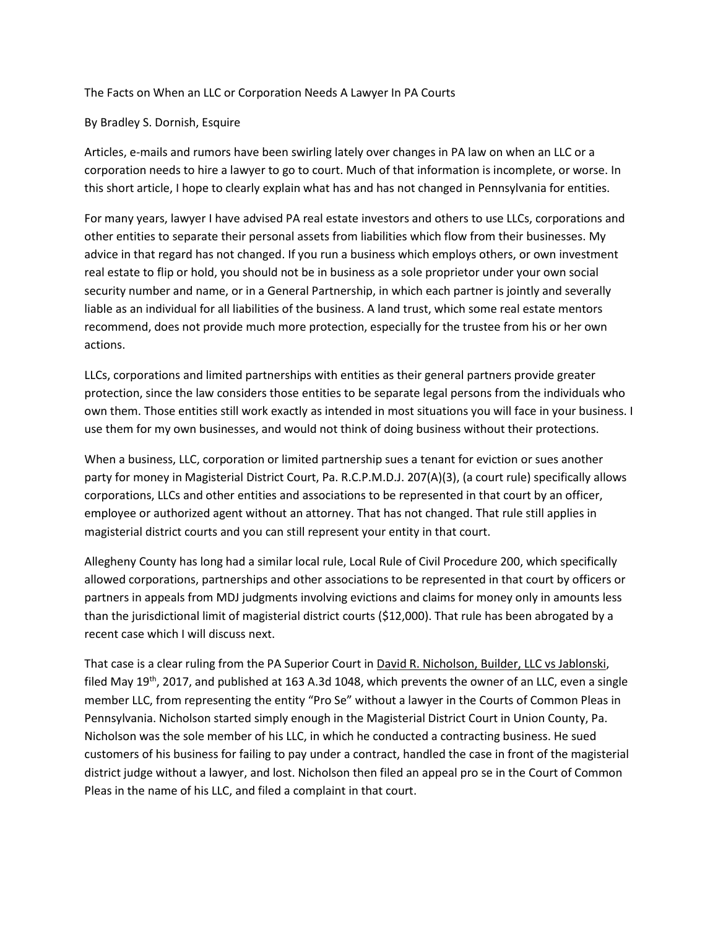The Facts on When an LLC or Corporation Needs A Lawyer In PA Courts

## By Bradley S. Dornish, Esquire

Articles, e-mails and rumors have been swirling lately over changes in PA law on when an LLC or a corporation needs to hire a lawyer to go to court. Much of that information is incomplete, or worse. In this short article, I hope to clearly explain what has and has not changed in Pennsylvania for entities.

For many years, lawyer I have advised PA real estate investors and others to use LLCs, corporations and other entities to separate their personal assets from liabilities which flow from their businesses. My advice in that regard has not changed. If you run a business which employs others, or own investment real estate to flip or hold, you should not be in business as a sole proprietor under your own social security number and name, or in a General Partnership, in which each partner is jointly and severally liable as an individual for all liabilities of the business. A land trust, which some real estate mentors recommend, does not provide much more protection, especially for the trustee from his or her own actions.

LLCs, corporations and limited partnerships with entities as their general partners provide greater protection, since the law considers those entities to be separate legal persons from the individuals who own them. Those entities still work exactly as intended in most situations you will face in your business. I use them for my own businesses, and would not think of doing business without their protections.

When a business, LLC, corporation or limited partnership sues a tenant for eviction or sues another party for money in Magisterial District Court, Pa. R.C.P.M.D.J. 207(A)(3), (a court rule) specifically allows corporations, LLCs and other entities and associations to be represented in that court by an officer, employee or authorized agent without an attorney. That has not changed. That rule still applies in magisterial district courts and you can still represent your entity in that court.

Allegheny County has long had a similar local rule, Local Rule of Civil Procedure 200, which specifically allowed corporations, partnerships and other associations to be represented in that court by officers or partners in appeals from MDJ judgments involving evictions and claims for money only in amounts less than the jurisdictional limit of magisterial district courts (\$12,000). That rule has been abrogated by a recent case which I will discuss next.

That case is a clear ruling from the PA Superior Court in David R. Nicholson, Builder, LLC vs Jablonski, filed May 19<sup>th</sup>, 2017, and published at 163 A.3d 1048, which prevents the owner of an LLC, even a single member LLC, from representing the entity "Pro Se" without a lawyer in the Courts of Common Pleas in Pennsylvania. Nicholson started simply enough in the Magisterial District Court in Union County, Pa. Nicholson was the sole member of his LLC, in which he conducted a contracting business. He sued customers of his business for failing to pay under a contract, handled the case in front of the magisterial district judge without a lawyer, and lost. Nicholson then filed an appeal pro se in the Court of Common Pleas in the name of his LLC, and filed a complaint in that court.